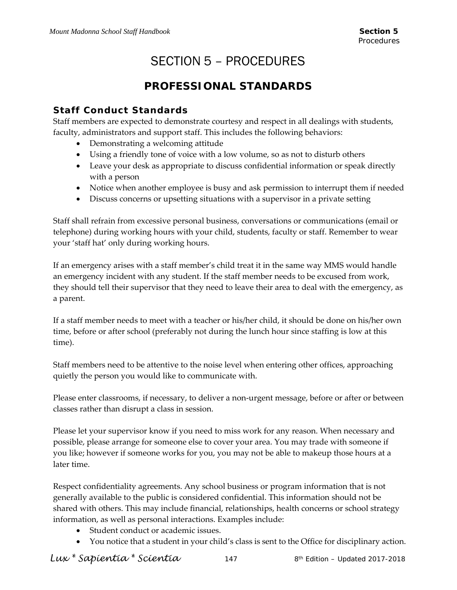# SECTION 5 – PROCEDURES

# **PROFESSIONAL STANDARDS**

### **Staff Conduct Standards**

Staff members are expected to demonstrate courtesy and respect in all dealings with students, faculty, administrators and support staff. This includes the following behaviors:

- Demonstrating a welcoming attitude
- Using a friendly tone of voice with a low volume, so as not to disturb others
- Leave your desk as appropriate to discuss confidential information or speak directly with a person
- Notice when another employee is busy and ask permission to interrupt them if needed
- Discuss concerns or upsetting situations with a supervisor in a private setting

Staff shall refrain from excessive personal business, conversations or communications (email or telephone) during working hours with your child, students, faculty or staff. Remember to wear your 'staff hat' only during working hours.

If an emergency arises with a staff member's child treat it in the same way MMS would handle an emergency incident with any student. If the staff member needs to be excused from work, they should tell their supervisor that they need to leave their area to deal with the emergency, as a parent.

If a staff member needs to meet with a teacher or his/her child, it should be done on his/her own time, before or after school (preferably not during the lunch hour since staffing is low at this time).

Staff members need to be attentive to the noise level when entering other offices, approaching quietly the person you would like to communicate with.

Please enter classrooms, if necessary, to deliver a non‐urgent message, before or after or between classes rather than disrupt a class in session.

Please let your supervisor know if you need to miss work for any reason. When necessary and possible, please arrange for someone else to cover your area. You may trade with someone if you like; however if someone works for you, you may not be able to makeup those hours at a later time.

Respect confidentiality agreements. Any school business or program information that is not generally available to the public is considered confidential. This information should not be shared with others. This may include financial, relationships, health concerns or school strategy information, as well as personal interactions. Examples include:

- Student conduct or academic issues.
- You notice that a student in your child's class is sent to the Office for disciplinary action.

*Lux \* Sapientia \* Scientia* 147 8th Edition – Updated 2017-2018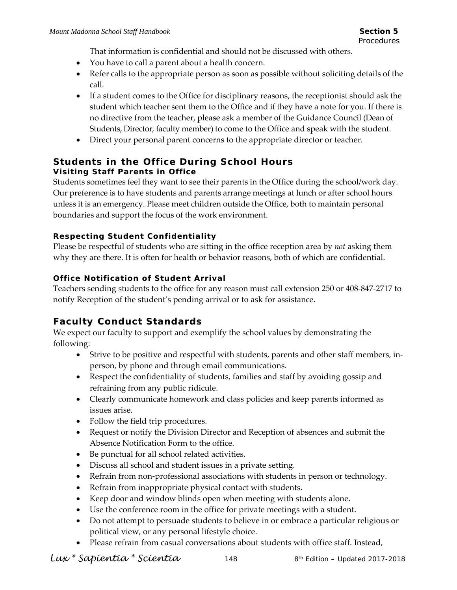That information is confidential and should not be discussed with others.

- You have to call a parent about a health concern.
- Refer calls to the appropriate person as soon as possible without soliciting details of the call.
- If a student comes to the Office for disciplinary reasons, the receptionist should ask the student which teacher sent them to the Office and if they have a note for you. If there is no directive from the teacher, please ask a member of the Guidance Council (Dean of Students, Director, faculty member) to come to the Office and speak with the student.
- Direct your personal parent concerns to the appropriate director or teacher.

### **Students in the Office During School Hours Visiting Staff Parents in Office**

Students sometimes feel they want to see their parents in the Office during the school/work day. Our preference is to have students and parents arrange meetings at lunch or after school hours unless it is an emergency. Please meet children outside the Office, both to maintain personal boundaries and support the focus of the work environment.

### **Respecting Student Confidentiality**

Please be respectful of students who are sitting in the office reception area by *not* asking them why they are there. It is often for health or behavior reasons, both of which are confidential.

### **Office Notification of Student Arrival**

Teachers sending students to the office for any reason must call extension 250 or 408‐847‐2717 to notify Reception of the student's pending arrival or to ask for assistance.

### **Faculty Conduct Standards**

We expect our faculty to support and exemplify the school values by demonstrating the following:

- Strive to be positive and respectful with students, parents and other staff members, inperson, by phone and through email communications.
- Respect the confidentiality of students, families and staff by avoiding gossip and refraining from any public ridicule.
- Clearly communicate homework and class policies and keep parents informed as issues arise.
- Follow the field trip procedures.
- Request or notify the Division Director and Reception of absences and submit the Absence Notification Form to the office.
- Be punctual for all school related activities.
- Discuss all school and student issues in a private setting.
- Refrain from non-professional associations with students in person or technology.
- Refrain from inappropriate physical contact with students.
- Keep door and window blinds open when meeting with students alone.
- Use the conference room in the office for private meetings with a student.
- Do not attempt to persuade students to believe in or embrace a particular religious or political view, or any personal lifestyle choice.
- Please refrain from casual conversations about students with office staff. Instead,

*Lux \* Sapientia \* Scientia* 148 8th Edition – Updated 2017-2018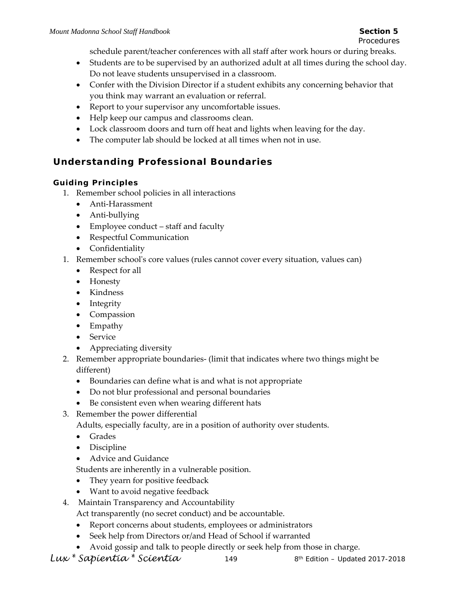*Procedures* 

schedule parent/teacher conferences with all staff after work hours or during breaks.

- Students are to be supervised by an authorized adult at all times during the school day. Do not leave students unsupervised in a classroom.
- Confer with the Division Director if a student exhibits any concerning behavior that you think may warrant an evaluation or referral.
- Report to your supervisor any uncomfortable issues.
- Help keep our campus and classrooms clean.
- Lock classroom doors and turn off heat and lights when leaving for the day.
- The computer lab should be locked at all times when not in use.

# **Understanding Professional Boundaries**

### **Guiding Principles**

- 1. Remember school policies in all interactions
	- Anti-Harassment
	- Anti-bullying
	- Employee conduct staff and faculty
	- Respectful Communication
	- Confidentiality
- 1. Remember schoolʹs core values (rules cannot cover every situation, values can)
	- Respect for all
	- Honesty
	- Kindness
	- Integrity
	- Compassion
	- Empathy
	- Service
	- Appreciating diversity
- 2. Remember appropriate boundaries‐ (limit that indicates where two things might be different)
	- Boundaries can define what is and what is not appropriate
	- Do not blur professional and personal boundaries
	- Be consistent even when wearing different hats
- 3. Remember the power differential

Adults, especially faculty, are in a position of authority over students.

- Grades
- Discipline
- Advice and Guidance

Students are inherently in a vulnerable position.

- They yearn for positive feedback
- Want to avoid negative feedback
- 4. Maintain Transparency and Accountability

Act transparently (no secret conduct) and be accountable.

- Report concerns about students, employees or administrators
- Seek help from Directors or/and Head of School if warranted
- Avoid gossip and talk to people directly or seek help from those in charge.

*Lux \* Sapientia \* Scientia* 149 8th Edition – Updated 2017-2018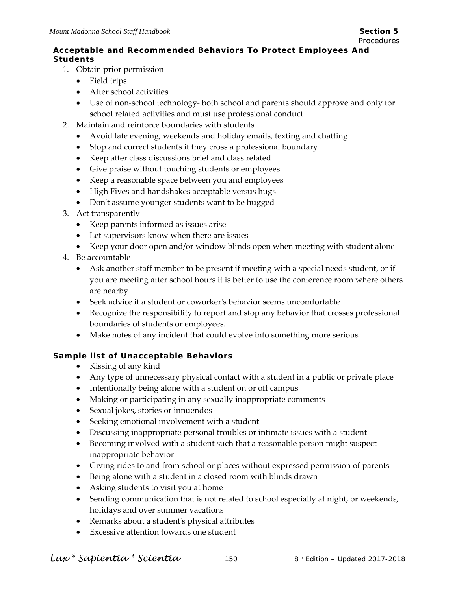### **Acceptable and Recommended Behaviors To Protect Employees And Students**

- 1. Obtain prior permission
	- Field trips
	- After school activities
	- Use of non‐school technology‐ both school and parents should approve and only for school related activities and must use professional conduct
- 2. Maintain and reinforce boundaries with students
	- Avoid late evening, weekends and holiday emails, texting and chatting
	- Stop and correct students if they cross a professional boundary
	- Keep after class discussions brief and class related
	- Give praise without touching students or employees
	- Keep a reasonable space between you and employees
	- High Fives and handshakes acceptable versus hugs
	- Don't assume younger students want to be hugged
- 3. Act transparently
	- Keep parents informed as issues arise
	- Let supervisors know when there are issues
	- Keep your door open and/or window blinds open when meeting with student alone
- 4. Be accountable
	- Ask another staff member to be present if meeting with a special needs student, or if you are meeting after school hours it is better to use the conference room where others are nearby
	- Seek advice if a student or coworker's behavior seems uncomfortable
	- Recognize the responsibility to report and stop any behavior that crosses professional boundaries of students or employees.
	- Make notes of any incident that could evolve into something more serious

### **Sample list of Unacceptable Behaviors**

- Kissing of any kind
- Any type of unnecessary physical contact with a student in a public or private place
- Intentionally being alone with a student on or off campus
- Making or participating in any sexually inappropriate comments
- Sexual jokes, stories or innuendos
- Seeking emotional involvement with a student
- Discussing inappropriate personal troubles or intimate issues with a student
- Becoming involved with a student such that a reasonable person might suspect inappropriate behavior
- Giving rides to and from school or places without expressed permission of parents
- Being alone with a student in a closed room with blinds drawn
- Asking students to visit you at home
- Sending communication that is not related to school especially at night, or weekends, holidays and over summer vacations
- Remarks about a studentʹs physical attributes
- Excessive attention towards one student

*Lux \* Sapientia \* Scientia* 150 8th Edition – Updated 2017-2018